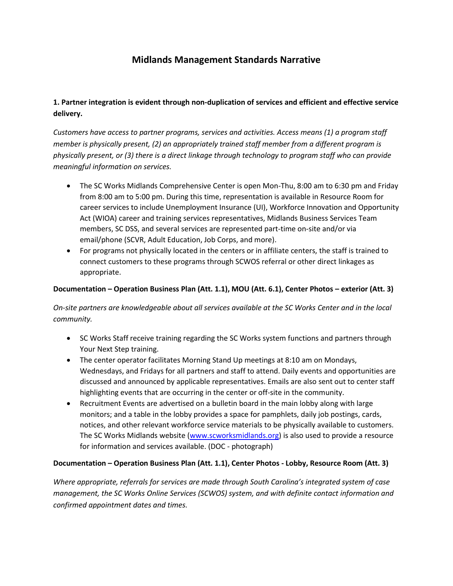# **Midlands Management Standards Narrative**

# **1. Partner integration is evident through non-duplication of services and efficient and effective service delivery.**

*Customers have access to partner programs, services and activities. Access means (1) a program staff member is physically present, (2) an appropriately trained staff member from a different program is physically present, or (3) there is a direct linkage through technology to program staff who can provide meaningful information on services.*

- The SC Works Midlands Comprehensive Center is open Mon-Thu, 8:00 am to 6:30 pm and Friday from 8:00 am to 5:00 pm. During this time, representation is available in Resource Room for career services to include Unemployment Insurance (UI), Workforce Innovation and Opportunity Act (WIOA) career and training services representatives, Midlands Business Services Team members, SC DSS, and several services are represented part-time on-site and/or via email/phone (SCVR, Adult Education, Job Corps, and more).
- For programs not physically located in the centers or in affiliate centers, the staff is trained to connect customers to these programs through SCWOS referral or other direct linkages as appropriate.

### **Documentation – Operation Business Plan (Att. 1.1), MOU (Att. 6.1), Center Photos – exterior (Att. 3)**

*On-site partners are knowledgeable about all services available at the SC Works Center and in the local community.*

- SC Works Staff receive training regarding the SC Works system functions and partners through Your Next Step training.
- The center operator facilitates Morning Stand Up meetings at 8:10 am on Mondays, Wednesdays, and Fridays for all partners and staff to attend. Daily events and opportunities are discussed and announced by applicable representatives. Emails are also sent out to center staff highlighting events that are occurring in the center or off-site in the community.
- Recruitment Events are advertised on a bulletin board in the main lobby along with large monitors; and a table in the lobby provides a space for pamphlets, daily job postings, cards, notices, and other relevant workforce service materials to be physically available to customers. The SC Works Midlands website [\(www.scworksmidlands.org\)](http://www.scworksmidlands.org/) is also used to provide a resource for information and services available. (DOC - photograph)

### **Documentation – Operation Business Plan (Att. 1.1), Center Photos - Lobby, Resource Room (Att. 3)**

*Where appropriate, referrals for services are made through South Carolina's integrated system of case management, the SC Works Online Services (SCWOS) system, and with definite contact information and confirmed appointment dates and times.*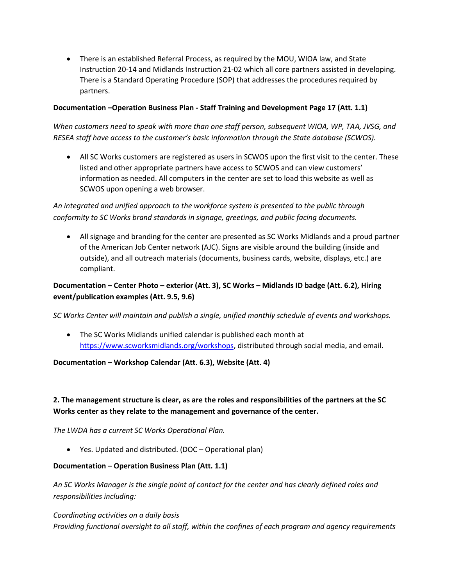There is an established Referral Process, as required by the MOU, WIOA law, and State Instruction 20-14 and Midlands Instruction 21-02 which all core partners assisted in developing. There is a Standard Operating Procedure (SOP) that addresses the procedures required by partners.

#### **Documentation –Operation Business Plan - Staff Training and Development Page 17 (Att. 1.1)**

*When customers need to speak with more than one staff person, subsequent WIOA, WP, TAA, JVSG, and RESEA staff have access to the customer's basic information through the State database (SCWOS).*

 All SC Works customers are registered as users in SCWOS upon the first visit to the center. These listed and other appropriate partners have access to SCWOS and can view customers' information as needed. All computers in the center are set to load this website as well as SCWOS upon opening a web browser.

*An integrated and unified approach to the workforce system is presented to the public through conformity to SC Works brand standards in signage, greetings, and public facing documents.*

 All signage and branding for the center are presented as SC Works Midlands and a proud partner of the American Job Center network (AJC). Signs are visible around the building (inside and outside), and all outreach materials (documents, business cards, website, displays, etc.) are compliant.

# **Documentation – Center Photo – exterior (Att. 3), SC Works – Midlands ID badge (Att. 6.2), Hiring event/publication examples (Att. 9.5, 9.6)**

*SC Works Center will maintain and publish a single, unified monthly schedule of events and workshops.*

 The SC Works Midlands unified calendar is published each month at [https://www.scworksmidlands.org/workshops,](https://www.scworksmidlands.org/workshops) distributed through social media, and email.

### **Documentation – Workshop Calendar (Att. 6.3), Website (Att. 4)**

# **2. The management structure is clear, as are the roles and responsibilities of the partners at the SC Works center as they relate to the management and governance of the center.**

*The LWDA has a current SC Works Operational Plan.*

Yes. Updated and distributed. (DOC – Operational plan)

#### **Documentation – Operation Business Plan (Att. 1.1)**

*An SC Works Manager is the single point of contact for the center and has clearly defined roles and responsibilities including:*

*Coordinating activities on a daily basis Providing functional oversight to all staff, within the confines of each program and agency requirements*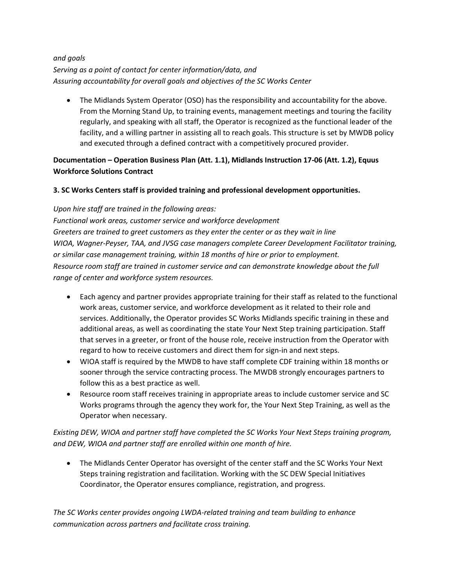### *and goals Serving as a point of contact for center information/data, and Assuring accountability for overall goals and objectives of the SC Works Center*

 The Midlands System Operator (OSO) has the responsibility and accountability for the above. From the Morning Stand Up, to training events, management meetings and touring the facility regularly, and speaking with all staff, the Operator is recognized as the functional leader of the facility, and a willing partner in assisting all to reach goals. This structure is set by MWDB policy and executed through a defined contract with a competitively procured provider.

# **Documentation – Operation Business Plan (Att. 1.1), Midlands Instruction 17-06 (Att. 1.2), Equus Workforce Solutions Contract**

# **3. SC Works Centers staff is provided training and professional development opportunities.**

*Upon hire staff are trained in the following areas:*

*Functional work areas, customer service and workforce development Greeters are trained to greet customers as they enter the center or as they wait in line WIOA, Wagner-Peyser, TAA, and JVSG case managers complete Career Development Facilitator training, or similar case management training, within 18 months of hire or prior to employment. Resource room staff are trained in customer service and can demonstrate knowledge about the full range of center and workforce system resources.*

- Each agency and partner provides appropriate training for their staff as related to the functional work areas, customer service, and workforce development as it related to their role and services. Additionally, the Operator provides SC Works Midlands specific training in these and additional areas, as well as coordinating the state Your Next Step training participation. Staff that serves in a greeter, or front of the house role, receive instruction from the Operator with regard to how to receive customers and direct them for sign-in and next steps.
- WIOA staff is required by the MWDB to have staff complete CDF training within 18 months or sooner through the service contracting process. The MWDB strongly encourages partners to follow this as a best practice as well.
- Resource room staff receives training in appropriate areas to include customer service and SC Works programs through the agency they work for, the Your Next Step Training, as well as the Operator when necessary.

*Existing DEW, WIOA and partner staff have completed the SC Works Your Next Steps training program, and DEW, WIOA and partner staff are enrolled within one month of hire.*

 The Midlands Center Operator has oversight of the center staff and the SC Works Your Next Steps training registration and facilitation. Working with the SC DEW Special Initiatives Coordinator, the Operator ensures compliance, registration, and progress.

*The SC Works center provides ongoing LWDA-related training and team building to enhance communication across partners and facilitate cross training.*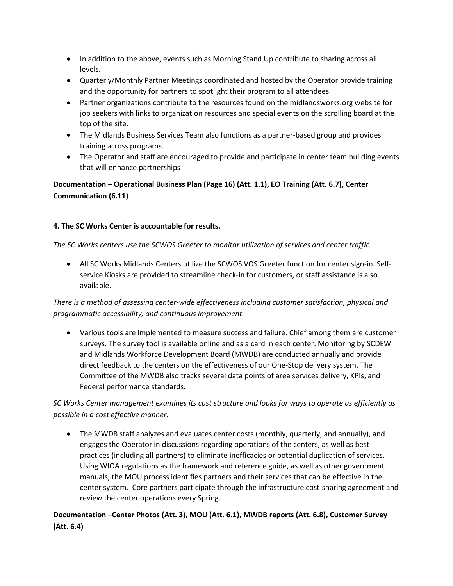- In addition to the above, events such as Morning Stand Up contribute to sharing across all levels.
- Quarterly/Monthly Partner Meetings coordinated and hosted by the Operator provide training and the opportunity for partners to spotlight their program to all attendees.
- Partner organizations contribute to the resources found on the midlandsworks.org website for job seekers with links to organization resources and special events on the scrolling board at the top of the site.
- The Midlands Business Services Team also functions as a partner-based group and provides training across programs.
- The Operator and staff are encouraged to provide and participate in center team building events that will enhance partnerships

**Documentation – Operational Business Plan (Page 16) (Att. 1.1), EO Training (Att. 6.7), Center Communication (6.11)**

### **4. The SC Works Center is accountable for results.**

*The SC Works centers use the SCWOS Greeter to monitor utilization of services and center traffic.*

 All SC Works Midlands Centers utilize the SCWOS VOS Greeter function for center sign-in. Selfservice Kiosks are provided to streamline check-in for customers, or staff assistance is also available.

*There is a method of assessing center-wide effectiveness including customer satisfaction, physical and programmatic accessibility, and continuous improvement.*

 Various tools are implemented to measure success and failure. Chief among them are customer surveys. The survey tool is available online and as a card in each center. Monitoring by SCDEW and Midlands Workforce Development Board (MWDB) are conducted annually and provide direct feedback to the centers on the effectiveness of our One-Stop delivery system. The Committee of the MWDB also tracks several data points of area services delivery, KPIs, and Federal performance standards.

*SC Works Center management examines its cost structure and looks for ways to operate as efficiently as possible in a cost effective manner.*

 The MWDB staff analyzes and evaluates center costs (monthly, quarterly, and annually), and engages the Operator in discussions regarding operations of the centers, as well as best practices (including all partners) to eliminate inefficacies or potential duplication of services. Using WIOA regulations as the framework and reference guide, as well as other government manuals, the MOU process identifies partners and their services that can be effective in the center system. Core partners participate through the infrastructure cost-sharing agreement and review the center operations every Spring.

**Documentation –Center Photos (Att. 3), MOU (Att. 6.1), MWDB reports (Att. 6.8), Customer Survey (Att. 6.4)**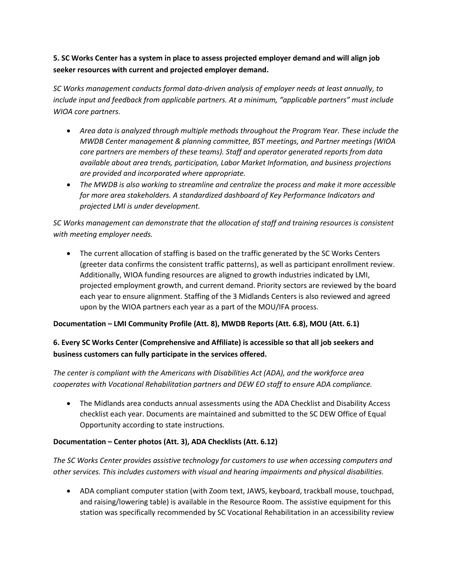# **5. SC Works Center has a system in place to assess projected employer demand and will align job seeker resources with current and projected employer demand.**

*SC Works management conducts formal data-driven analysis of employer needs at least annually, to include input and feedback from applicable partners. At a minimum, "applicable partners" must include WIOA core partners.*

- *Area data is analyzed through multiple methods throughout the Program Year. These include the MWDB Center management & planning committee, BST meetings, and Partner meetings (WIOA core partners are members of these teams). Staff and operator generated reports from data available about area trends, participation, Labor Market Information, and business projections are provided and incorporated where appropriate.*
- *The MWDB is also working to streamline and centralize the process and make it more accessible for more area stakeholders. A standardized dashboard of Key Performance Indicators and projected LMI is under development.*

*SC Works management can demonstrate that the allocation of staff and training resources is consistent with meeting employer needs.*

• The current allocation of staffing is based on the traffic generated by the SC Works Centers (greeter data confirms the consistent traffic patterns), as well as participant enrollment review. Additionally, WIOA funding resources are aligned to growth industries indicated by LMI, projected employment growth, and current demand. Priority sectors are reviewed by the board each year to ensure alignment. Staffing of the 3 Midlands Centers is also reviewed and agreed upon by the WIOA partners each year as a part of the MOU/IFA process.

### **Documentation – LMI Community Profile (Att. 8), MWDB Reports (Att. 6.8), MOU (Att. 6.1)**

# **6. Every SC Works Center (Comprehensive and Affiliate) is accessible so that all job seekers and business customers can fully participate in the services offered.**

*The center is compliant with the Americans with Disabilities Act (ADA), and the workforce area cooperates with Vocational Rehabilitation partners and DEW EO staff to ensure ADA compliance.*

 The Midlands area conducts annual assessments using the ADA Checklist and Disability Access checklist each year. Documents are maintained and submitted to the SC DEW Office of Equal Opportunity according to state instructions.

### **Documentation – Center photos (Att. 3), ADA Checklists (Att. 6.12)**

*The SC Works Center provides assistive technology for customers to use when accessing computers and other services. This includes customers with visual and hearing impairments and physical disabilities.*

 ADA compliant computer station (with Zoom text, JAWS, keyboard, trackball mouse, touchpad, and raising/lowering table) is available in the Resource Room. The assistive equipment for this station was specifically recommended by SC Vocational Rehabilitation in an accessibility review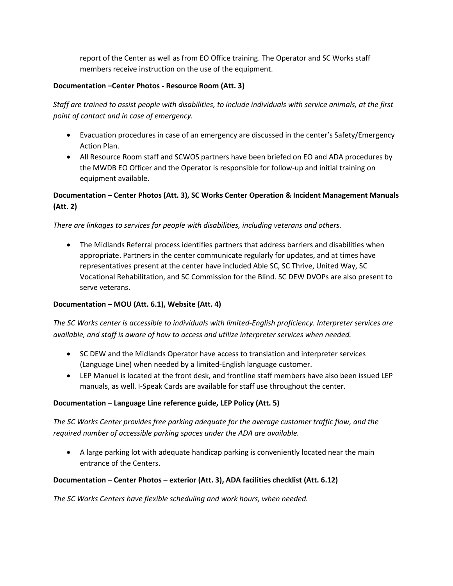report of the Center as well as from EO Office training. The Operator and SC Works staff members receive instruction on the use of the equipment.

### **Documentation –Center Photos - Resource Room (Att. 3)**

*Staff are trained to assist people with disabilities, to include individuals with service animals, at the first point of contact and in case of emergency.*

- Evacuation procedures in case of an emergency are discussed in the center's Safety/Emergency Action Plan.
- All Resource Room staff and SCWOS partners have been briefed on EO and ADA procedures by the MWDB EO Officer and the Operator is responsible for follow-up and initial training on equipment available.

# **Documentation – Center Photos (Att. 3), SC Works Center Operation & Incident Management Manuals (Att. 2)**

#### *There are linkages to services for people with disabilities, including veterans and others.*

 The Midlands Referral process identifies partners that address barriers and disabilities when appropriate. Partners in the center communicate regularly for updates, and at times have representatives present at the center have included Able SC, SC Thrive, United Way, SC Vocational Rehabilitation, and SC Commission for the Blind. SC DEW DVOPs are also present to serve veterans.

#### **Documentation – MOU (Att. 6.1), Website (Att. 4)**

*The SC Works center is accessible to individuals with limited-English proficiency. Interpreter services are available, and staff is aware of how to access and utilize interpreter services when needed.*

- SC DEW and the Midlands Operator have access to translation and interpreter services (Language Line) when needed by a limited-English language customer.
- LEP Manuel is located at the front desk, and frontline staff members have also been issued LEP manuals, as well. I-Speak Cards are available for staff use throughout the center.

#### **Documentation – Language Line reference guide, LEP Policy (Att. 5)**

*The SC Works Center provides free parking adequate for the average customer traffic flow, and the required number of accessible parking spaces under the ADA are available.*

 A large parking lot with adequate handicap parking is conveniently located near the main entrance of the Centers.

### **Documentation – Center Photos – exterior (Att. 3), ADA facilities checklist (Att. 6.12)**

*The SC Works Centers have flexible scheduling and work hours, when needed.*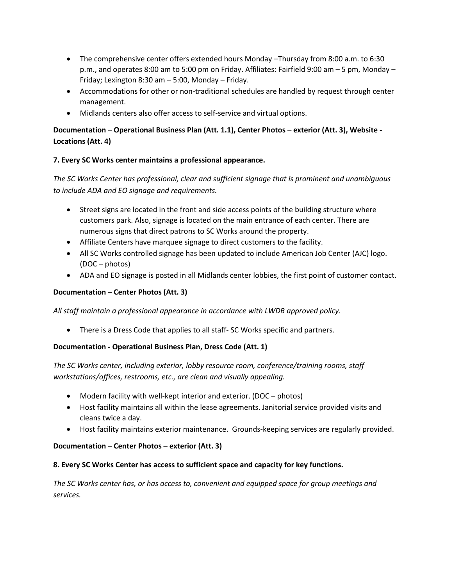- The comprehensive center offers extended hours Monday –Thursday from 8:00 a.m. to 6:30 p.m., and operates 8:00 am to 5:00 pm on Friday. Affiliates: Fairfield 9:00 am – 5 pm, Monday – Friday; Lexington 8:30 am – 5:00, Monday – Friday.
- Accommodations for other or non-traditional schedules are handled by request through center management.
- Midlands centers also offer access to self-service and virtual options.

# **Documentation – Operational Business Plan (Att. 1.1), Center Photos – exterior (Att. 3), Website - Locations (Att. 4)**

### **7. Every SC Works center maintains a professional appearance.**

*The SC Works Center has professional, clear and sufficient signage that is prominent and unambiguous to include ADA and EO signage and requirements.*

- Street signs are located in the front and side access points of the building structure where customers park. Also, signage is located on the main entrance of each center. There are numerous signs that direct patrons to SC Works around the property.
- Affiliate Centers have marquee signage to direct customers to the facility.
- All SC Works controlled signage has been updated to include American Job Center (AJC) logo. (DOC – photos)
- ADA and EO signage is posted in all Midlands center lobbies, the first point of customer contact.

### **Documentation – Center Photos (Att. 3)**

*All staff maintain a professional appearance in accordance with LWDB approved policy.*

• There is a Dress Code that applies to all staff- SC Works specific and partners.

### **Documentation - Operational Business Plan, Dress Code (Att. 1)**

*The SC Works center, including exterior, lobby resource room, conference/training rooms, staff workstations/offices, restrooms, etc., are clean and visually appealing.*

- Modern facility with well-kept interior and exterior. (DOC photos)
- Host facility maintains all within the lease agreements. Janitorial service provided visits and cleans twice a day.
- Host facility maintains exterior maintenance. Grounds-keeping services are regularly provided.

### **Documentation – Center Photos – exterior (Att. 3)**

### **8. Every SC Works Center has access to sufficient space and capacity for key functions.**

*The SC Works center has, or has access to, convenient and equipped space for group meetings and services.*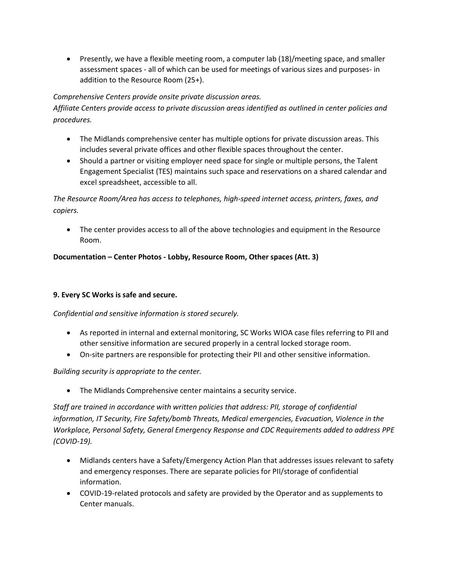Presently, we have a flexible meeting room, a computer lab (18)/meeting space, and smaller assessment spaces - all of which can be used for meetings of various sizes and purposes- in addition to the Resource Room (25+).

### *Comprehensive Centers provide onsite private discussion areas.*

*Affiliate Centers provide access to private discussion areas identified as outlined in center policies and procedures.*

- The Midlands comprehensive center has multiple options for private discussion areas. This includes several private offices and other flexible spaces throughout the center.
- Should a partner or visiting employer need space for single or multiple persons, the Talent Engagement Specialist (TES) maintains such space and reservations on a shared calendar and excel spreadsheet, accessible to all.

*The Resource Room/Area has access to telephones, high-speed internet access, printers, faxes, and copiers.*

• The center provides access to all of the above technologies and equipment in the Resource Room.

### **Documentation – Center Photos - Lobby, Resource Room, Other spaces (Att. 3)**

### **9. Every SC Works is safe and secure.**

### *Confidential and sensitive information is stored securely.*

- As reported in internal and external monitoring, SC Works WIOA case files referring to PII and other sensitive information are secured properly in a central locked storage room.
- On-site partners are responsible for protecting their PII and other sensitive information.

### *Building security is appropriate to the center.*

The Midlands Comprehensive center maintains a security service.

*Staff are trained in accordance with written policies that address: PII, storage of confidential information, IT Security, Fire Safety/bomb Threats, Medical emergencies, Evacuation, Violence in the Workplace, Personal Safety, General Emergency Response and CDC Requirements added to address PPE (COVID-19).*

- Midlands centers have a Safety/Emergency Action Plan that addresses issues relevant to safety and emergency responses. There are separate policies for PII/storage of confidential information.
- COVID-19-related protocols and safety are provided by the Operator and as supplements to Center manuals.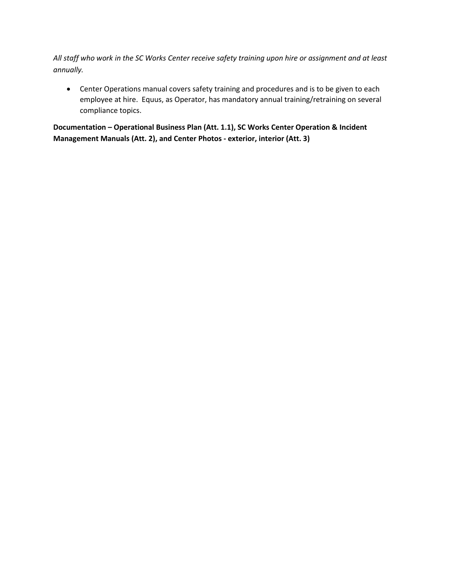*All staff who work in the SC Works Center receive safety training upon hire or assignment and at least annually.*

 Center Operations manual covers safety training and procedures and is to be given to each employee at hire. Equus, as Operator, has mandatory annual training/retraining on several compliance topics.

**Documentation – Operational Business Plan (Att. 1.1), SC Works Center Operation & Incident Management Manuals (Att. 2), and Center Photos - exterior, interior (Att. 3)**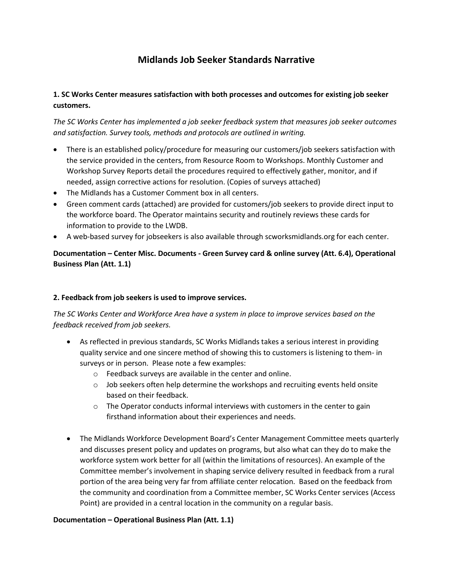# **Midlands Job Seeker Standards Narrative**

### **1. SC Works Center measures satisfaction with both processes and outcomes for existing job seeker customers.**

*The SC Works Center has implemented a job seeker feedback system that measures job seeker outcomes and satisfaction. Survey tools, methods and protocols are outlined in writing.*

- There is an established policy/procedure for measuring our customers/job seekers satisfaction with the service provided in the centers, from Resource Room to Workshops. Monthly Customer and Workshop Survey Reports detail the procedures required to effectively gather, monitor, and if needed, assign corrective actions for resolution. (Copies of surveys attached)
- The Midlands has a Customer Comment box in all centers.
- Green comment cards (attached) are provided for customers/job seekers to provide direct input to the workforce board. The Operator maintains security and routinely reviews these cards for information to provide to the LWDB.
- A web-based survey for jobseekers is also available through scworksmidlands.org for each center.

# **Documentation – Center Misc. Documents - Green Survey card & online survey (Att. 6.4), Operational Business Plan (Att. 1.1)**

#### **2. Feedback from job seekers is used to improve services.**

*The SC Works Center and Workforce Area have a system in place to improve services based on the feedback received from job seekers.*

- As reflected in previous standards, SC Works Midlands takes a serious interest in providing quality service and one sincere method of showing this to customers is listening to them- in surveys or in person. Please note a few examples:
	- o Feedback surveys are available in the center and online.
	- $\circ$  Job seekers often help determine the workshops and recruiting events held onsite based on their feedback.
	- o The Operator conducts informal interviews with customers in the center to gain firsthand information about their experiences and needs.
- The Midlands Workforce Development Board's Center Management Committee meets quarterly and discusses present policy and updates on programs, but also what can they do to make the workforce system work better for all (within the limitations of resources). An example of the Committee member's involvement in shaping service delivery resulted in feedback from a rural portion of the area being very far from affiliate center relocation. Based on the feedback from the community and coordination from a Committee member, SC Works Center services (Access Point) are provided in a central location in the community on a regular basis.

#### **Documentation – Operational Business Plan (Att. 1.1)**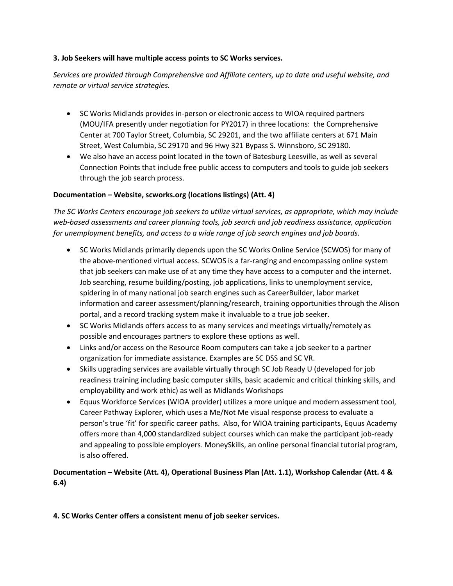#### **3. Job Seekers will have multiple access points to SC Works services.**

*Services are provided through Comprehensive and Affiliate centers, up to date and useful website, and remote or virtual service strategies.*

- SC Works Midlands provides in-person or electronic access to WIOA required partners (MOU/IFA presently under negotiation for PY2017) in three locations: the Comprehensive Center at 700 Taylor Street, Columbia, SC 29201, and the two affiliate centers at 671 Main Street, West Columbia, SC 29170 and 96 Hwy 321 Bypass S. Winnsboro, SC 29180.
- We also have an access point located in the town of Batesburg Leesville, as well as several Connection Points that include free public access to computers and tools to guide job seekers through the job search process.

#### **Documentation – Website, scworks.org (locations listings) (Att. 4)**

*The SC Works Centers encourage job seekers to utilize virtual services, as appropriate, which may include web-based assessments and career planning tools, job search and job readiness assistance, application for unemployment benefits, and access to a wide range of job search engines and job boards.*

- SC Works Midlands primarily depends upon the SC Works Online Service (SCWOS) for many of the above-mentioned virtual access. SCWOS is a far-ranging and encompassing online system that job seekers can make use of at any time they have access to a computer and the internet. Job searching, resume building/posting, job applications, links to unemployment service, spidering in of many national job search engines such as CareerBuilder, labor market information and career assessment/planning/research, training opportunities through the Alison portal, and a record tracking system make it invaluable to a true job seeker.
- SC Works Midlands offers access to as many services and meetings virtually/remotely as possible and encourages partners to explore these options as well.
- Links and/or access on the Resource Room computers can take a job seeker to a partner organization for immediate assistance. Examples are SC DSS and SC VR.
- Skills upgrading services are available virtually through SC Job Ready U (developed for job readiness training including basic computer skills, basic academic and critical thinking skills, and employability and work ethic) as well as Midlands Workshops
- Equus Workforce Services (WIOA provider) utilizes a more unique and modern assessment tool, Career Pathway Explorer, which uses a Me/Not Me visual response process to evaluate a person's true 'fit' for specific career paths. Also, for WIOA training participants, Equus Academy offers more than 4,000 standardized subject courses which can make the participant job-ready and appealing to possible employers. MoneySkills, an online personal financial tutorial program, is also offered.

# **Documentation – Website (Att. 4), Operational Business Plan (Att. 1.1), Workshop Calendar (Att. 4 & 6.4)**

### **4. SC Works Center offers a consistent menu of job seeker services.**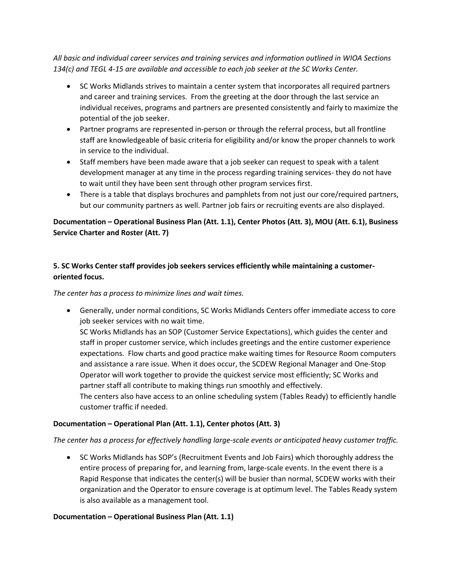*All basic and individual career services and training services and information outlined in WIOA Sections 134(c) and TEGL 4-15 are available and accessible to each job seeker at the SC Works Center.*

- SC Works Midlands strives to maintain a center system that incorporates all required partners and career and training services. From the greeting at the door through the last service an individual receives, programs and partners are presented consistently and fairly to maximize the potential of the job seeker.
- Partner programs are represented in-person or through the referral process, but all frontline staff are knowledgeable of basic criteria for eligibility and/or know the proper channels to work in service to the individual.
- Staff members have been made aware that a job seeker can request to speak with a talent development manager at any time in the process regarding training services- they do not have to wait until they have been sent through other program services first.
- There is a table that displays brochures and pamphlets from not just our core/required partners, but our community partners as well. Partner job fairs or recruiting events are also displayed.

### **Documentation – Operational Business Plan (Att. 1.1), Center Photos (Att. 3), MOU (Att. 6.1), Business Service Charter and Roster (Att. 7)**

### **5. SC Works Center staff provides job seekers services efficiently while maintaining a customeroriented focus.**

*The center has a process to minimize lines and wait times.*

 Generally, under normal conditions, SC Works Midlands Centers offer immediate access to core job seeker services with no wait time.

SC Works Midlands has an SOP (Customer Service Expectations), which guides the center and staff in proper customer service, which includes greetings and the entire customer experience expectations. Flow charts and good practice make waiting times for Resource Room computers and assistance a rare issue. When it does occur, the SCDEW Regional Manager and One-Stop Operator will work together to provide the quickest service most efficiently; SC Works and partner staff all contribute to making things run smoothly and effectively.

The centers also have access to an online scheduling system (Tables Ready) to efficiently handle customer traffic if needed.

### **Documentation – Operational Plan (Att. 1.1), Center photos (Att. 3)**

*The center has a process for effectively handling large-scale events or anticipated heavy customer traffic.*

 SC Works Midlands has SOP's (Recruitment Events and Job Fairs) which thoroughly address the entire process of preparing for, and learning from, large-scale events. In the event there is a Rapid Response that indicates the center(s) will be busier than normal, SCDEW works with their organization and the Operator to ensure coverage is at optimum level. The Tables Ready system is also available as a management tool.

### **Documentation – Operational Business Plan (Att. 1.1)**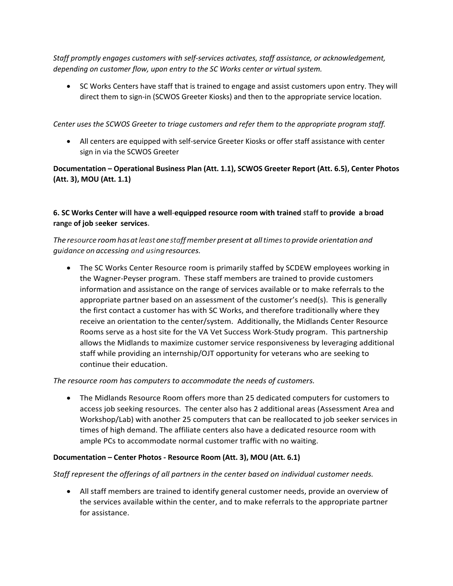*Staff promptly engages customers with self-services activates, staff assistance, or acknowledgement, depending on customer flow, upon entry to the SC Works center or virtual system.*

• SC Works Centers have staff that is trained to engage and assist customers upon entry. They will direct them to sign-in (SCWOS Greeter Kiosks) and then to the appropriate service location.

*Center uses the SCWOS Greeter to triage customers and refer them to the appropriate program staff.*

 All centers are equipped with self-service Greeter Kiosks or offer staff assistance with center sign in via the SCWOS Greeter

**Documentation – Operational Business Plan (Att. 1.1), SCWOS Greeter Report (Att. 6.5), Center Photos (Att. 3), MOU (Att. 1.1)**

**6. SC Works Center will have a well-equipped resource room with trained staff to provide a broad range of job seeker services.**

# *The resource roomhasatleastonestaffmember present at alltimesto provide orientation and guidance on accessing and usingresources.*

 The SC Works Center Resource room is primarily staffed by SCDEW employees working in the Wagner-Peyser program. These staff members are trained to provide customers information and assistance on the range of services available or to make referrals to the appropriate partner based on an assessment of the customer's need(s). This is generally the first contact a customer has with SC Works, and therefore traditionally where they receive an orientation to the center/system. Additionally, the Midlands Center Resource Rooms serve as a host site for the VA Vet Success Work-Study program. This partnership allows the Midlands to maximize customer service responsiveness by leveraging additional staff while providing an internship/OJT opportunity for veterans who are seeking to continue their education.

*The resource room has computers to accommodate the needs of customers.*

 The Midlands Resource Room offers more than 25 dedicated computers for customers to access job seeking resources. The center also has 2 additional areas (Assessment Area and Workshop/Lab) with another 25 computers that can be reallocated to job seeker services in times of high demand. The affiliate centers also have a dedicated resource room with ample PCs to accommodate normal customer traffic with no waiting.

### **Documentation – Center Photos - Resource Room (Att. 3), MOU (Att. 6.1)**

*Staff represent the offerings of all partners in the center based on individual customer needs.*

 All staff members are trained to identify general customer needs, provide an overview of the services available within the center, and to make referrals to the appropriate partner for assistance.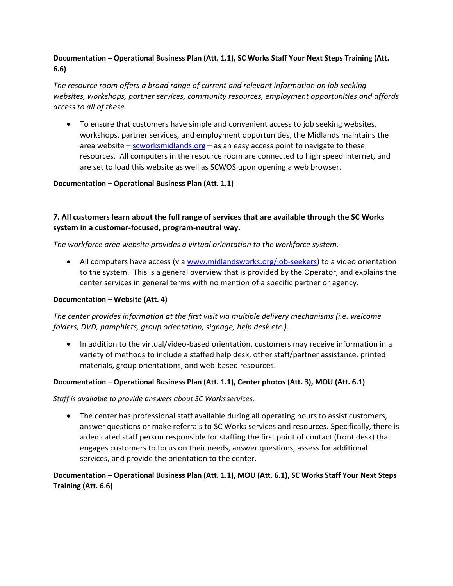# **Documentation – Operational Business Plan (Att. 1.1), SC Works Staff Your Next Steps Training (Att. 6.6)**

*The resource room offers a broad range of current and relevant information on job seeking websites, workshops, partner services, community resources, employment opportunities and affords access to all of these.*

 To ensure that customers have simple and convenient access to job seeking websites, workshops, partner services, and employment opportunities, the Midlands maintains the area website – [scworksmidlands.org](http://www.midlandsworks.org/) – as an easy access point to navigate to these resources. All computers in the resource room are connected to high speed internet, and are set to load this website as well as SCWOS upon opening a web browser.

#### **Documentation – Operational Business Plan (Att. 1.1)**

### **7. All customers learn about the full range of services that are available through the SC Works system in a customer-focused, program-neutral way.**

*The workforce area website provides a virtual orientation to the workforce system.*

 All computers have access (via [www.midlandsworks.org/job-seekers\)](http://www.midlandsworks.org/job-seekers) to a video orientation to the system. This is a general overview that is provided by the Operator, and explains the center services in general terms with no mention of a specific partner or agency.

#### **Documentation – Website (Att. 4)**

*The center provides information at the first visit via multiple delivery mechanisms (i.e. welcome folders, DVD, pamphlets, group orientation, signage, help desk etc.).*

• In addition to the virtual/video-based orientation, customers may receive information in a variety of methods to include a staffed help desk, other staff/partner assistance, printed materials, group orientations, and web-based resources.

#### **Documentation – Operational Business Plan (Att. 1.1), Center photos (Att. 3), MOU (Att. 6.1)**

*Staff is available to provide answers about SC Worksservices.*

 The center has professional staff available during all operating hours to assist customers, answer questions or make referrals to SC Works services and resources. Specifically, there is a dedicated staff person responsible for staffing the first point of contact (front desk) that engages customers to focus on their needs, answer questions, assess for additional services, and provide the orientation to the center.

### **Documentation – Operational Business Plan (Att. 1.1), MOU (Att. 6.1), SC Works Staff Your Next Steps Training (Att. 6.6)**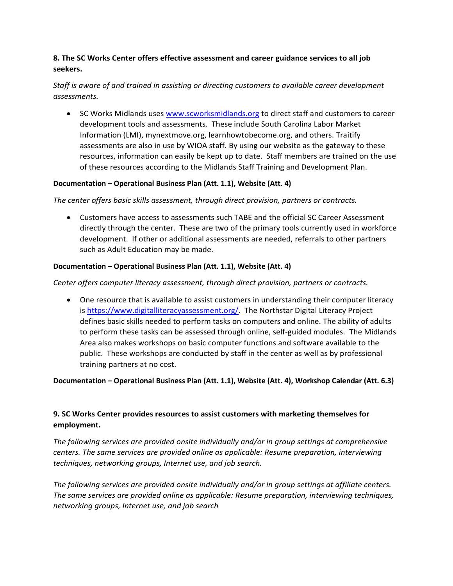### **8. The SC Works Center offers effective assessment and career guidance services to all job seekers.**

# *Staff is aware of and trained in assisting or directing customers to available career development assessments.*

• SC Works Midlands uses [www.scworksmidlands.org](http://www.scworksmidlands.org/) to direct staff and customers to career development tools and assessments. These include South Carolina Labor Market Information (LMI), mynextmove.org, learnhowtobecome.org, and others. Traitify assessments are also in use by WIOA staff. By using our website as the gateway to these resources, information can easily be kept up to date. Staff members are trained on the use of these resources according to the Midlands Staff Training and Development Plan.

### **Documentation – Operational Business Plan (Att. 1.1), Website (Att. 4)**

### *The center offers basic skills assessment, through direct provision, partners or contracts.*

 Customers have access to assessments such TABE and the official SC Career Assessment directly through the center. These are two of the primary tools currently used in workforce development. If other or additional assessments are needed, referrals to other partners such as Adult Education may be made.

### **Documentation – Operational Business Plan (Att. 1.1), Website (Att. 4)**

### *Center offers computer literacy assessment, through direct provision, partners or contracts.*

 One resource that is available to assist customers in understanding their computer literacy is [https://www.digitalliteracyassessment.org/.](https://www.digitalliteracyassessment.org/) The Northstar Digital Literacy Project defines basic skills needed to perform tasks on computers and online. The ability of adults to perform these tasks can be assessed through online, self-guided modules. The Midlands Area also makes workshops on basic computer functions and software available to the public. These workshops are conducted by staff in the center as well as by professional training partners at no cost.

### **Documentation – Operational Business Plan (Att. 1.1), Website (Att. 4), Workshop Calendar (Att. 6.3)**

# **9. SC Works Center provides resources to assist customers with marketing themselves for employment.**

*The following services are provided onsite individually and/or in group settings at comprehensive centers. The same services are provided online as applicable: Resume preparation, interviewing techniques, networking groups, Internet use, and job search.*

*The following services are provided onsite individually and/or in group settings at affiliate centers. The same services are provided online as applicable: Resume preparation, interviewing techniques, networking groups, Internet use, and job search*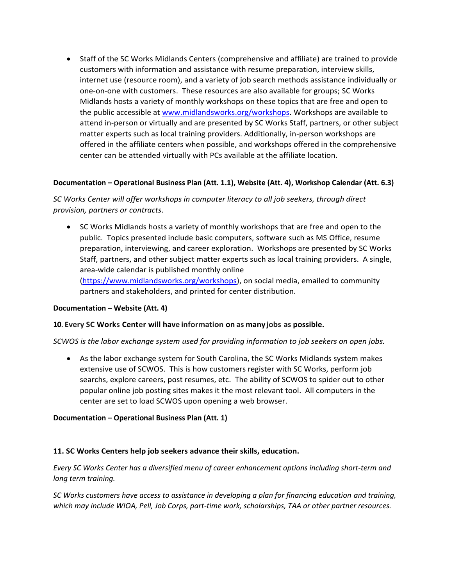Staff of the SC Works Midlands Centers (comprehensive and affiliate) are trained to provide customers with information and assistance with resume preparation, interview skills, internet use (resource room), and a variety of job search methods assistance individually or one-on-one with customers. These resources are also available for groups; SC Works Midlands hosts a variety of monthly workshops on these topics that are free and open to the public accessible at [www.midlandsworks.org/workshops.](http://www.midlandsworks.org/workshops) Workshops are available to attend in-person or virtually and are presented by SC Works Staff, partners, or other subject matter experts such as local training providers. Additionally, in-person workshops are offered in the affiliate centers when possible, and workshops offered in the comprehensive center can be attended virtually with PCs available at the affiliate location.

#### **Documentation – Operational Business Plan (Att. 1.1), Website (Att. 4), Workshop Calendar (Att. 6.3)**

*SC Works Center will offer workshops in computer literacy to all job seekers, through direct provision, partners or contracts*.

• SC Works Midlands hosts a variety of monthly workshops that are free and open to the public. Topics presented include basic computers, software such as MS Office, resume preparation, interviewing, and career exploration. Workshops are presented by SC Works Staff, partners, and other subject matter experts such as local training providers. A single, area-wide calendar is published monthly online [\(https://www.midlandsworks.org/workshops\)](https://www.midlandsworks.org/workshops), on social media, emailed to community partners and stakeholders, and printed for center distribution.

#### **Documentation – Website (Att. 4)**

#### **10. Every SC Works Center will have information on as many jobs as possible.**

*SCWOS is the labor exchange system used for providing information to job seekers on open jobs.*

 As the labor exchange system for South Carolina, the SC Works Midlands system makes extensive use of SCWOS. This is how customers register with SC Works, perform job searchs, explore careers, post resumes, etc. The ability of SCWOS to spider out to other popular online job posting sites makes it the most relevant tool. All computers in the center are set to load SCWOS upon opening a web browser.

#### **Documentation – Operational Business Plan (Att. 1)**

#### **11. SC Works Centers help job seekers advance their skills, education.**

*Every SC Works Center has a diversified menu of career enhancement options including short-term and long term training.*

*SC Works customers have access to assistance in developing a plan for financing education and training, which may include WIOA, Pell, Job Corps, part-time work, scholarships, TAA or other partner resources.*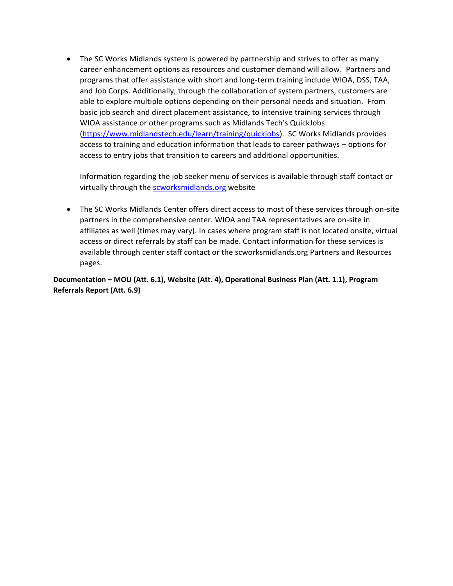• The SC Works Midlands system is powered by partnership and strives to offer as many career enhancement options as resources and customer demand will allow. Partners and programs that offer assistance with short and long-term training include WIOA, DSS, TAA, and Job Corps. Additionally, through the collaboration of system partners, customers are able to explore multiple options depending on their personal needs and situation. From basic job search and direct placement assistance, to intensive training services through WIOA assistance or other programs such as Midlands Tech's QuickJobs [\(https://www.midlandstech.edu/learn/training/quickjobs\)](https://www.midlandstech.edu/learn/training/quickjobs). SC Works Midlands provides access to training and education information that leads to career pathways – options for access to entry jobs that transition to careers and additional opportunities.

Information regarding the job seeker menu of services is available through staff contact or virtually through the [scworksmidlands.org](file:///C:/Users/Chris%20White/OneDrive/Standards%20&%20Certification%20-%202017/Documentation/midlandsworks.org) website

• The SC Works Midlands Center offers direct access to most of these services through on-site partners in the comprehensive center. WIOA and TAA representatives are on-site in affiliates as well (times may vary). In cases where program staff is not located onsite, virtual access or direct referrals by staff can be made. Contact information for these services is available through center staff contact or the scworksmidlands.org Partners and Resources pages.

**Documentation – MOU (Att. 6.1), Website (Att. 4), Operational Business Plan (Att. 1.1), Program Referrals Report (Att. 6.9)**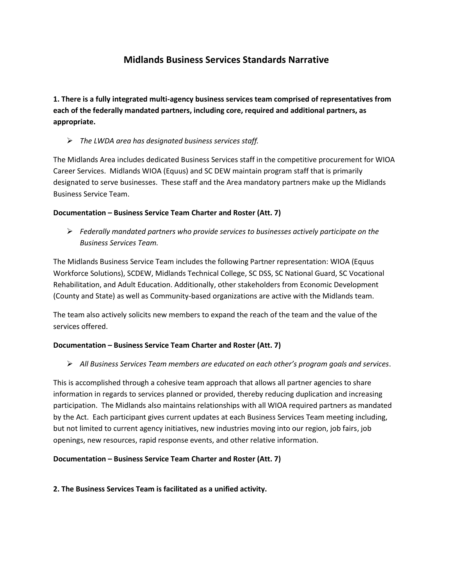# **Midlands Business Services Standards Narrative**

**1. There is a fully integrated multi-agency business services team comprised of representatives from each of the federally mandated partners, including core, required and additional partners, as appropriate.**

*The LWDA area has designated business services staff.*

The Midlands Area includes dedicated Business Services staff in the competitive procurement for WIOA Career Services. Midlands WIOA (Equus) and SC DEW maintain program staff that is primarily designated to serve businesses. These staff and the Area mandatory partners make up the Midlands Business Service Team.

### **Documentation – Business Service Team Charter and Roster (Att. 7)**

 *Federally mandated partners who provide services to businesses actively participate on the Business Services Team.*

The Midlands Business Service Team includes the following Partner representation: WIOA (Equus Workforce Solutions), SCDEW, Midlands Technical College, SC DSS, SC National Guard, SC Vocational Rehabilitation, and Adult Education. Additionally, other stakeholders from Economic Development (County and State) as well as Community-based organizations are active with the Midlands team.

The team also actively solicits new members to expand the reach of the team and the value of the services offered.

### **Documentation – Business Service Team Charter and Roster (Att. 7)**

*All Business Services Team members are educated on each other's program goals and services*.

This is accomplished through a cohesive team approach that allows all partner agencies to share information in regards to services planned or provided, thereby reducing duplication and increasing participation. The Midlands also maintains relationships with all WIOA required partners as mandated by the Act. Each participant gives current updates at each Business Services Team meeting including, but not limited to current agency initiatives, new industries moving into our region, job fairs, job openings, new resources, rapid response events, and other relative information.

### **Documentation – Business Service Team Charter and Roster (Att. 7)**

**2. The Business Services Team is facilitated as a unified activity.**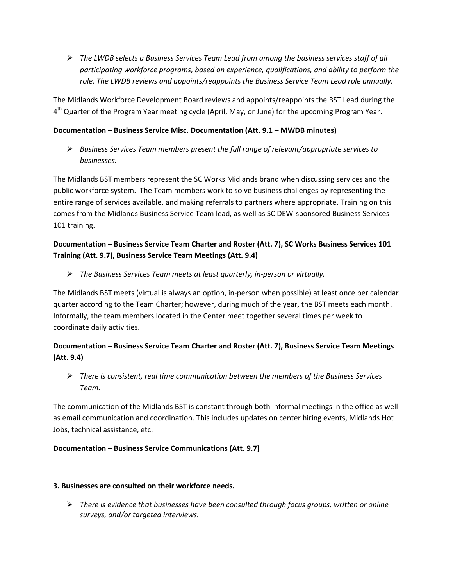*The LWDB selects a Business Services Team Lead from among the business services staff of all participating workforce programs, based on experience, qualifications, and ability to perform the role. The LWDB reviews and appoints/reappoints the Business Service Team Lead role annually.* 

The Midlands Workforce Development Board reviews and appoints/reappoints the BST Lead during the 4<sup>th</sup> Quarter of the Program Year meeting cycle (April, May, or June) for the upcoming Program Year.

### **Documentation – Business Service Misc. Documentation (Att. 9.1 – MWDB minutes)**

 *Business Services Team members present the full range of relevant/appropriate services to businesses.*

The Midlands BST members represent the SC Works Midlands brand when discussing services and the public workforce system. The Team members work to solve business challenges by representing the entire range of services available, and making referrals to partners where appropriate. Training on this comes from the Midlands Business Service Team lead, as well as SC DEW-sponsored Business Services 101 training.

# **Documentation – Business Service Team Charter and Roster (Att. 7), SC Works Business Services 101 Training (Att. 9.7), Business Service Team Meetings (Att. 9.4)**

*The Business Services Team meets at least quarterly, in-person or virtually.*

The Midlands BST meets (virtual is always an option, in-person when possible) at least once per calendar quarter according to the Team Charter; however, during much of the year, the BST meets each month. Informally, the team members located in the Center meet together several times per week to coordinate daily activities.

# **Documentation – Business Service Team Charter and Roster (Att. 7), Business Service Team Meetings (Att. 9.4)**

 *There is consistent, real time communication between the members of the Business Services Team.*

The communication of the Midlands BST is constant through both informal meetings in the office as well as email communication and coordination. This includes updates on center hiring events, Midlands Hot Jobs, technical assistance, etc.

# **Documentation – Business Service Communications (Att. 9.7)**

### **3. Businesses are consulted on their workforce needs.**

 *There is evidence that businesses have been consulted through focus groups, written or online surveys, and/or targeted interviews.*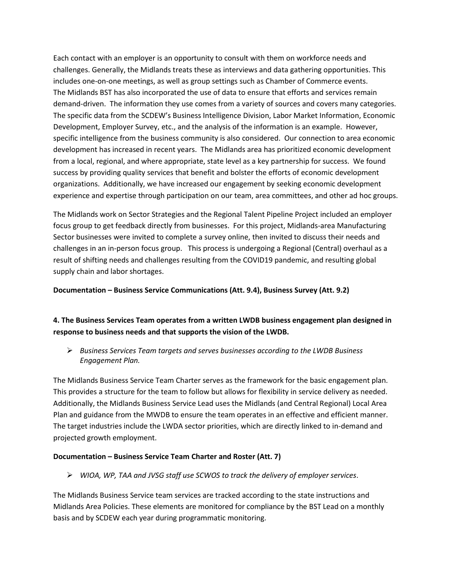Each contact with an employer is an opportunity to consult with them on workforce needs and challenges. Generally, the Midlands treats these as interviews and data gathering opportunities. This includes one-on-one meetings, as well as group settings such as Chamber of Commerce events. The Midlands BST has also incorporated the use of data to ensure that efforts and services remain demand-driven. The information they use comes from a variety of sources and covers many categories. The specific data from the SCDEW's Business Intelligence Division, Labor Market Information, Economic Development, Employer Survey, etc., and the analysis of the information is an example. However, specific intelligence from the business community is also considered. Our connection to area economic development has increased in recent years. The Midlands area has prioritized economic development from a local, regional, and where appropriate, state level as a key partnership for success. We found success by providing quality services that benefit and bolster the efforts of economic development organizations. Additionally, we have increased our engagement by seeking economic development experience and expertise through participation on our team, area committees, and other ad hoc groups.

The Midlands work on Sector Strategies and the Regional Talent Pipeline Project included an employer focus group to get feedback directly from businesses. For this project, Midlands-area Manufacturing Sector businesses were invited to complete a survey online, then invited to discuss their needs and challenges in an in-person focus group. This process is undergoing a Regional (Central) overhaul as a result of shifting needs and challenges resulting from the COVID19 pandemic, and resulting global supply chain and labor shortages.

#### **Documentation – Business Service Communications (Att. 9.4), Business Survey (Att. 9.2)**

# **4. The Business Services Team operates from a written LWDB business engagement plan designed in response to business needs and that supports the vision of the LWDB.**

 *Business Services Team targets and serves businesses according to the LWDB Business Engagement Plan.*

The Midlands Business Service Team Charter serves as the framework for the basic engagement plan. This provides a structure for the team to follow but allows for flexibility in service delivery as needed. Additionally, the Midlands Business Service Lead uses the Midlands (and Central Regional) Local Area Plan and guidance from the MWDB to ensure the team operates in an effective and efficient manner. The target industries include the LWDA sector priorities, which are directly linked to in-demand and projected growth employment.

#### **Documentation – Business Service Team Charter and Roster (Att. 7)**

*WIOA, WP, TAA and JVSG staff use SCWOS to track the delivery of employer services*.

The Midlands Business Service team services are tracked according to the state instructions and Midlands Area Policies. These elements are monitored for compliance by the BST Lead on a monthly basis and by SCDEW each year during programmatic monitoring.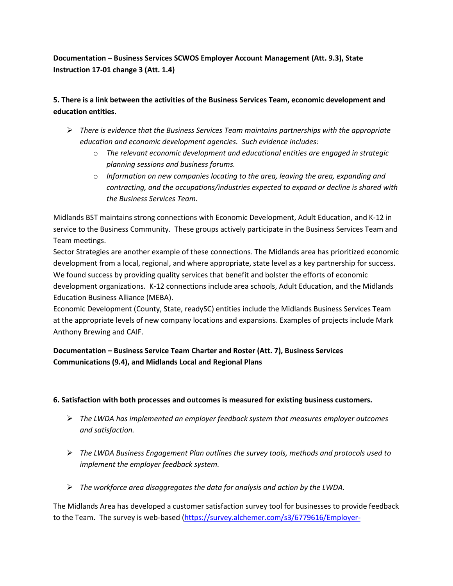**Documentation – Business Services SCWOS Employer Account Management (Att. 9.3), State Instruction 17-01 change 3 (Att. 1.4)**

# **5. There is a link between the activities of the Business Services Team, economic development and education entities.**

- *There is evidence that the Business Services Team maintains partnerships with the appropriate education and economic development agencies. Such evidence includes:*
	- o *The relevant economic development and educational entities are engaged in strategic planning sessions and business forums.*
	- o *Information on new companies locating to the area, leaving the area, expanding and contracting, and the occupations/industries expected to expand or decline is shared with the Business Services Team.*

Midlands BST maintains strong connections with Economic Development, Adult Education, and K-12 in service to the Business Community. These groups actively participate in the Business Services Team and Team meetings.

Sector Strategies are another example of these connections. The Midlands area has prioritized economic development from a local, regional, and where appropriate, state level as a key partnership for success. We found success by providing quality services that benefit and bolster the efforts of economic development organizations. K-12 connections include area schools, Adult Education, and the Midlands Education Business Alliance (MEBA).

Economic Development (County, State, readySC) entities include the Midlands Business Services Team at the appropriate levels of new company locations and expansions. Examples of projects include Mark Anthony Brewing and CAIF.

# **Documentation – Business Service Team Charter and Roster (Att. 7), Business Services Communications (9.4), and Midlands Local and Regional Plans**

# **6. Satisfaction with both processes and outcomes is measured for existing business customers.**

- *The LWDA has implemented an employer feedback system that measures employer outcomes and satisfaction.*
- *The LWDA Business Engagement Plan outlines the survey tools, methods and protocols used to implement the employer feedback system.*
- *The workforce area disaggregates the data for analysis and action by the LWDA.*

The Midlands Area has developed a customer satisfaction survey tool for businesses to provide feedback to the Team. The survey is web-based [\(https://survey.alchemer.com/s3/6779616/Employer-](https://survey.alchemer.com/s3/6779616/Employer-Satisfaction-Survey)